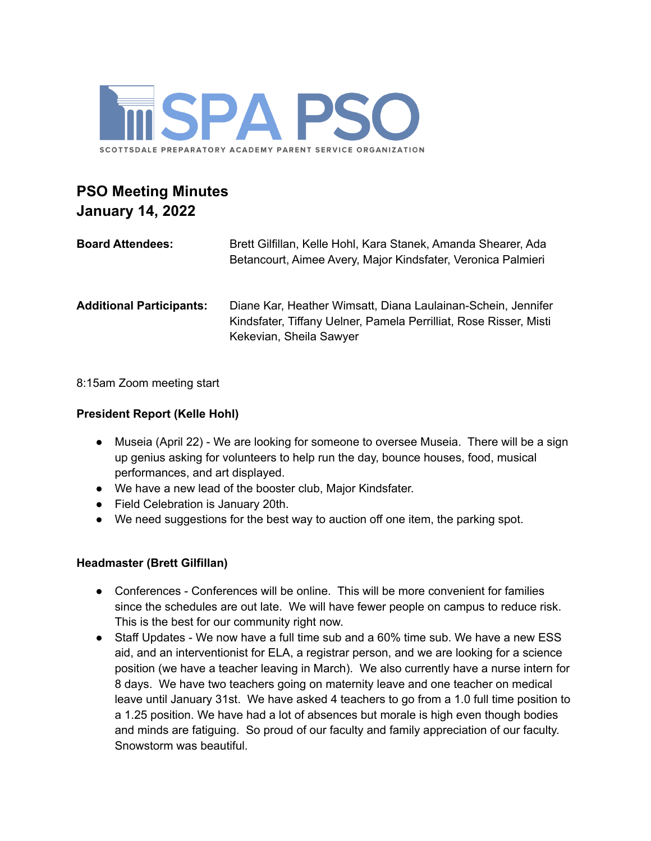

# **PSO Meeting Minutes January 14, 2022**

| <b>Board Attendees:</b>         | Brett Gilfillan, Kelle Hohl, Kara Stanek, Amanda Shearer, Ada<br>Betancourt, Aimee Avery, Major Kindsfater, Veronica Palmieri                                |
|---------------------------------|--------------------------------------------------------------------------------------------------------------------------------------------------------------|
| <b>Additional Participants:</b> | Diane Kar, Heather Wimsatt, Diana Laulainan-Schein, Jennifer<br>Kindsfater, Tiffany Uelner, Pamela Perrilliat, Rose Risser, Misti<br>Kekevian, Sheila Sawyer |

8:15am Zoom meeting start

## **President Report (Kelle Hohl)**

- Museia (April 22) We are looking for someone to oversee Museia. There will be a sign up genius asking for volunteers to help run the day, bounce houses, food, musical performances, and art displayed.
- We have a new lead of the booster club, Major Kindsfater.
- Field Celebration is January 20th.
- We need suggestions for the best way to auction off one item, the parking spot.

### **Headmaster (Brett Gilfillan)**

- Conferences Conferences will be online. This will be more convenient for families since the schedules are out late. We will have fewer people on campus to reduce risk. This is the best for our community right now.
- Staff Updates We now have a full time sub and a 60% time sub. We have a new ESS aid, and an interventionist for ELA, a registrar person, and we are looking for a science position (we have a teacher leaving in March). We also currently have a nurse intern for 8 days. We have two teachers going on maternity leave and one teacher on medical leave until January 31st. We have asked 4 teachers to go from a 1.0 full time position to a 1.25 position. We have had a lot of absences but morale is high even though bodies and minds are fatiguing. So proud of our faculty and family appreciation of our faculty. Snowstorm was beautiful.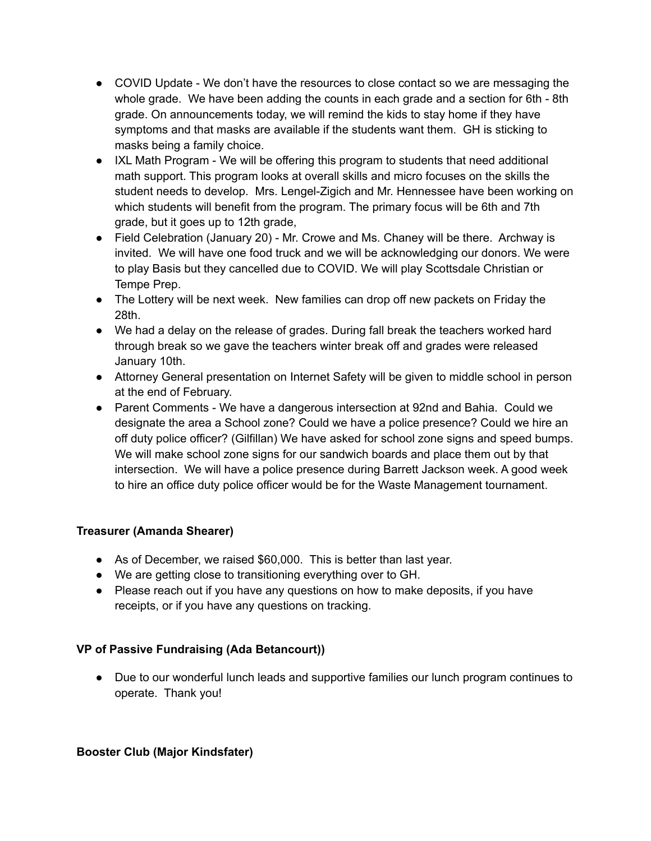- COVID Update We don't have the resources to close contact so we are messaging the whole grade. We have been adding the counts in each grade and a section for 6th - 8th grade. On announcements today, we will remind the kids to stay home if they have symptoms and that masks are available if the students want them. GH is sticking to masks being a family choice.
- IXL Math Program We will be offering this program to students that need additional math support. This program looks at overall skills and micro focuses on the skills the student needs to develop. Mrs. Lengel-Zigich and Mr. Hennessee have been working on which students will benefit from the program. The primary focus will be 6th and 7th grade, but it goes up to 12th grade,
- Field Celebration (January 20) Mr. Crowe and Ms. Chaney will be there. Archway is invited. We will have one food truck and we will be acknowledging our donors. We were to play Basis but they cancelled due to COVID. We will play Scottsdale Christian or Tempe Prep.
- The Lottery will be next week. New families can drop off new packets on Friday the 28th.
- We had a delay on the release of grades. During fall break the teachers worked hard through break so we gave the teachers winter break off and grades were released January 10th.
- Attorney General presentation on Internet Safety will be given to middle school in person at the end of February.
- Parent Comments We have a dangerous intersection at 92nd and Bahia. Could we designate the area a School zone? Could we have a police presence? Could we hire an off duty police officer? (Gilfillan) We have asked for school zone signs and speed bumps. We will make school zone signs for our sandwich boards and place them out by that intersection. We will have a police presence during Barrett Jackson week. A good week to hire an office duty police officer would be for the Waste Management tournament.

### **Treasurer (Amanda Shearer)**

- As of December, we raised \$60,000. This is better than last year.
- We are getting close to transitioning everything over to GH.
- Please reach out if you have any questions on how to make deposits, if you have receipts, or if you have any questions on tracking.

### **VP of Passive Fundraising (Ada Betancourt))**

● Due to our wonderful lunch leads and supportive families our lunch program continues to operate. Thank you!

### **Booster Club (Major Kindsfater)**